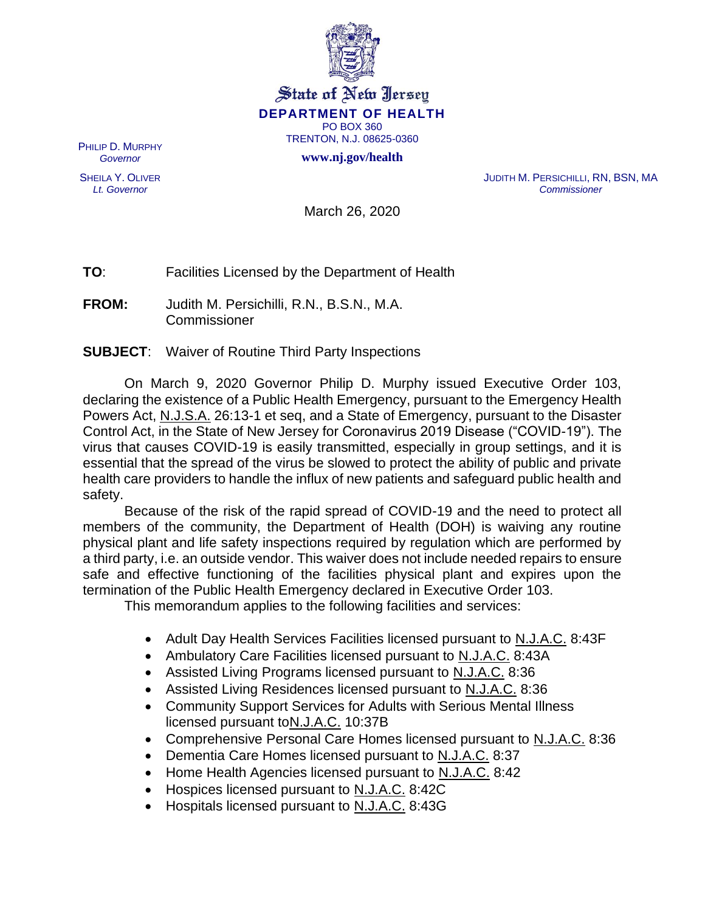

## State of New Jersey **DEPARTMENT OF HEALTH** PO BOX 360 TRENTON, N.J. 08625-0360

**www.nj.gov/health**

PHILIP D. MURPHY *Governor*

SHEILA Y. OLIVER *Lt. Governor*

JUDITH M. PERSICHILLI, RN, BSN, MA *Commissioner*

March 26, 2020

**TO**: Facilities Licensed by the Department of Health

**FROM:** Judith M. Persichilli, R.N., B.S.N., M.A. Commissioner

**SUBJECT**: Waiver of Routine Third Party Inspections

On March 9, 2020 Governor Philip D. Murphy issued Executive Order 103, declaring the existence of a Public Health Emergency, pursuant to the Emergency Health Powers Act, N.J.S.A. 26:13-1 et seq, and a State of Emergency, pursuant to the Disaster Control Act, in the State of New Jersey for Coronavirus 2019 Disease ("COVID-19"). The virus that causes COVID-19 is easily transmitted, especially in group settings, and it is essential that the spread of the virus be slowed to protect the ability of public and private health care providers to handle the influx of new patients and safeguard public health and safety.

Because of the risk of the rapid spread of COVID-19 and the need to protect all members of the community, the Department of Health (DOH) is waiving any routine physical plant and life safety inspections required by regulation which are performed by a third party, i.e. an outside vendor. This waiver does not include needed repairs to ensure safe and effective functioning of the facilities physical plant and expires upon the termination of the Public Health Emergency declared in Executive Order 103.

This memorandum applies to the following facilities and services:

- Adult Day Health Services Facilities licensed pursuant to N.J.A.C. 8:43F
- Ambulatory Care Facilities licensed pursuant to N.J.A.C. 8:43A
- Assisted Living Programs licensed pursuant to N.J.A.C. 8:36
- Assisted Living Residences licensed pursuant to N.J.A.C. 8:36
- Community Support Services for Adults with Serious Mental Illness licensed pursuant toN.J.A.C. 10:37B
- Comprehensive Personal Care Homes licensed pursuant to N.J.A.C. 8:36
- Dementia Care Homes licensed pursuant to N.J.A.C. 8:37
- Home Health Agencies licensed pursuant to N.J.A.C. 8:42
- Hospices licensed pursuant to N.J.A.C. 8:42C
- Hospitals licensed pursuant to N.J.A.C. 8:43G